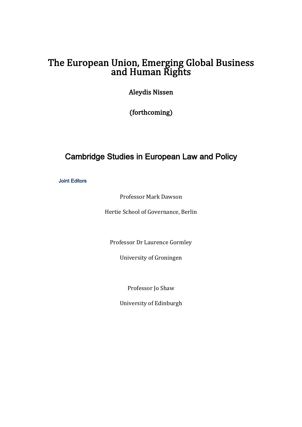# The European Union, Emerging Global Business<br>and Human Rights

**Aleydis Nissen** 

(forthcoming) 

# Cambridge Studies in European Law and Policy

**Joint Editors** 

Professor Mark Dawson

Hertie School of Governance, Berlin

Professor Dr Laurence Gormley

University of Groningen

Professor Jo Shaw

University of Edinburgh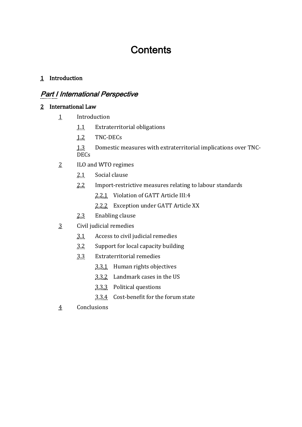# **Contents**

#### 1 Introduction

# Part I International Perspective

#### 2 International Law

- 1 Introduction
	- 1.1 Extraterritorial obligations
	- 1.2 TNC-DECs
	- 1.3 Domestic measures with extraterritorial implications over TNC-DECs
- 2 ILO and WTO regimes
	- 2.1 Social clause
	- 2.2 Import-restrictive measures relating to labour standards
		- 2.2.1 Violation of GATT Article III:4
		- 2.2.2 Exception under GATT Article XX
	- 2.3 Enabling clause
- 3 Civil judicial remedies
	- $3.1$  Access to civil judicial remedies
	- 3.2 Support for local capacity building
	- 3.3 Extraterritorial remedies
		- $3.3.1$  Human rights objectives
		- $3.3.2$  Landmark cases in the US
		- 3.3.3 Political questions
		- 3.3.4 Cost-benefit for the forum state
- 4 Conclusions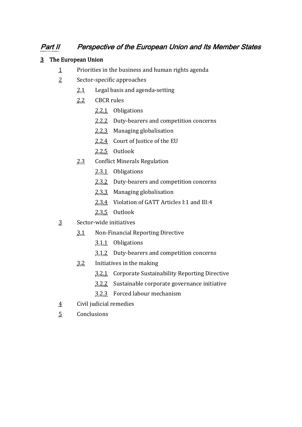## Part II Perspective of the European Union and Its Member States

#### 3 The European Union

- 1 Priorities in the business and human rights agenda
- 2. Sector-specific approaches
	- $2.1$  Legal basis and agenda-setting
	- 2.2 CBCR rules
		- 2.2.1 Obligations
		- 2.2.2 Duty-bearers and competition concerns
		- 2.2.3 Managing globalisation
		- 2.2.4 Court of Justice of the EU
		- 2.2.5 Outlook
	- 2.3 Conflict Minerals Regulation
		- 2.3.1 Obligations
		- 2.3.2 Duty-bearers and competition concerns
		- 2.3.3 Managing globalisation
		- 2.3.4 Violation of GATT Articles I:1 and III:4
		- 2.3.5 Outlook
- 3 Sector-wide initiatives
	- 3.1 Non-Financial Reporting Directive
		- 3.1.1 Obligations
		- 3.1.2 Duty-bearers and competition concerns
	- $3.2$  Initiatives in the making
		- 3.2.1 Corporate Sustainability Reporting Directive
		- 3.2.2 Sustainable corporate governance initiative
		- 3.2.3 Forced labour mechanism
- 4 Civil judicial remedies
- 5 Conclusions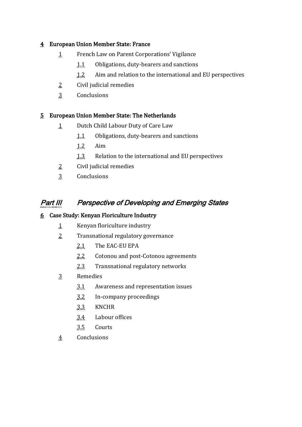#### 4 European Union Member State: France

- 1 French Law on Parent Corporations' Vigilance
	- 1.1 Obligations, duty-bearers and sanctions
	- 1.2 Aim and relation to the international and EU perspectives
- $2$  Civil judicial remedies
- 3 Conclusions

#### 5 European Union Member State: The Netherlands

- 1 Dutch Child Labour Duty of Care Law
	- 1.1 Obligations, duty-bearers and sanctions
	- 1.2 Aim
	- 1.3 Relation to the international and EU perspectives
- $2$  Civil judicial remedies
- 3 Conclusions

### **Part III Perspective of Developing and Emerging States**

#### 6 Case Study: Kenyan Floriculture Industry

- 1 Kenyan floriculture industry
- 2 Transnational regulatory governance
	- 2.1 The EAC-EU EPA
	- 2.2 Cotonou and post-Cotonou agreements
	- 2.3 Transnational regulatory networks
- 3 Remedies
	- $3.1$  Awareness and representation issues
	- 3.2 In-company proceedings
	- 3.3 KNCHR
	- 3.4 Labour offices
	- 3.5 Courts
- 4 Conclusions